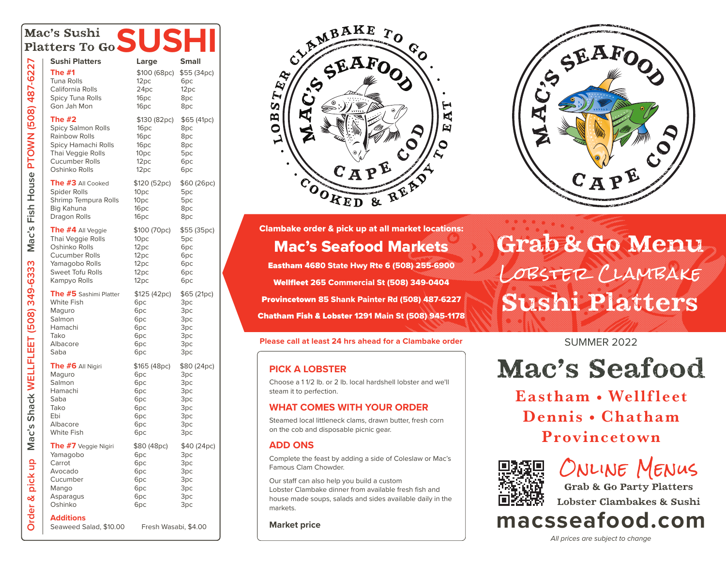| mac's Sushi<br>Platters To Go SUS     |                                                                                                                                     |                                                                                                  |                                                                      |
|---------------------------------------|-------------------------------------------------------------------------------------------------------------------------------------|--------------------------------------------------------------------------------------------------|----------------------------------------------------------------------|
|                                       |                                                                                                                                     |                                                                                                  |                                                                      |
| Mac's Fish House PTOWN (508) 487-6227 | <b>Sushi Platters</b><br><b>The #1</b><br>Tuna Rolls<br>California Rolls<br><b>Spicy Tuna Rolls</b><br>Gon Jah Mon                  | Large<br>\$100 (68pc)<br>12pc<br>24pc<br>16pc<br>16pc                                            | <b>Small</b><br>\$55 (34pc)<br>6pc<br>12 <sub>pc</sub><br>8pc<br>8pc |
|                                       | The #2<br>Spicy Salmon Rolls<br>Rainbow Rolls<br>Spicy Hamachi Rolls<br>Thai Veggie Rolls<br><b>Cucumber Rolls</b><br>Oshinko Rolls | \$130 (82pc)<br>16 <sub>pc</sub><br>16pc<br>16 <sub>pc</sub><br>10pc<br>12 <sub>pc</sub><br>12pc | \$65(41pc)<br>8pc<br>8pc<br>8pc<br>5pc<br>6рс<br>6pc                 |
|                                       | <b>The #3 All Cooked</b>                                                                                                            | \$120 (52pc)                                                                                     | \$60 (26pc)                                                          |
|                                       | Spider Rolls                                                                                                                        | 10 <sub>pc</sub>                                                                                 | 5pc                                                                  |
|                                       | Shrimp Tempura Rolls                                                                                                                | 10 <sub>pc</sub>                                                                                 | 5pc                                                                  |
|                                       | Big Kahuna                                                                                                                          | 16pc                                                                                             | 8pc                                                                  |
|                                       | Dragon Rolls                                                                                                                        | 16pc                                                                                             | 8pc                                                                  |
|                                       | The #4 All Veggie                                                                                                                   | \$100 (70pc)                                                                                     | \$55 (35pc)                                                          |
|                                       | Thai Veggie Rolls                                                                                                                   | 10 <sub>pc</sub>                                                                                 | 5pc                                                                  |
|                                       | Oshinko Rolls                                                                                                                       | 12 <sub>pc</sub>                                                                                 | 6pc                                                                  |
|                                       | <b>Cucumber Rolls</b>                                                                                                               | 12pc                                                                                             | 6pc                                                                  |
|                                       | Yamagobo Rolls                                                                                                                      | 12pc                                                                                             | 6pc                                                                  |
|                                       | <b>Sweet Tofu Rolls</b>                                                                                                             | 12pc                                                                                             | 6pc                                                                  |
|                                       | Kampyo Rolls                                                                                                                        | 12pc                                                                                             | 6pc                                                                  |
| Shack WELLFLEET (508) 349-6333        | The #5 Sashimi Platter                                                                                                              | \$125(42pc)                                                                                      | \$65 (21pc)                                                          |
|                                       | White Fish                                                                                                                          | 6pc                                                                                              | 3pc                                                                  |
|                                       | Maguro                                                                                                                              | 6pc                                                                                              | 3pc                                                                  |
|                                       | Salmon                                                                                                                              | 6pc                                                                                              | 3pc                                                                  |
|                                       | Hamachi                                                                                                                             | 6pc                                                                                              | 3pc                                                                  |
|                                       | Tako                                                                                                                                | 6pc                                                                                              | 3pc                                                                  |
|                                       | Albacore                                                                                                                            | 6pc                                                                                              | Зрс                                                                  |
|                                       | Saba                                                                                                                                | 6pc                                                                                              | Зрс                                                                  |
| ະບໍ                                   | The #6 All Nigiri                                                                                                                   | \$165 (48pc)                                                                                     | \$80 (24pc)                                                          |
|                                       | Maguro                                                                                                                              | 6pc                                                                                              | 3pc                                                                  |
|                                       | Salmon                                                                                                                              | 6 <sub>pc</sub>                                                                                  | 3pc                                                                  |
|                                       | Hamachi                                                                                                                             | 6pc                                                                                              | 3pc                                                                  |
|                                       | Saba                                                                                                                                | 6pc                                                                                              | 3pc                                                                  |
|                                       | Tako                                                                                                                                | 6pc                                                                                              | 3pc                                                                  |
|                                       | Ebi                                                                                                                                 | 6pc                                                                                              | 3pc                                                                  |
|                                       | Albacore                                                                                                                            | 6pc                                                                                              | 3pc                                                                  |
|                                       | White Fish                                                                                                                          | 6pc                                                                                              | 3pc                                                                  |
| Order & pick up Mar                   | The #7 Veggie Nigiri                                                                                                                | \$80 (48pc)                                                                                      | \$40 (24pc)                                                          |
|                                       | Yamagobo                                                                                                                            | 6pc                                                                                              | 3pc                                                                  |
|                                       | Carrot                                                                                                                              | 6pc                                                                                              | 3pc                                                                  |
|                                       | Avocado                                                                                                                             | 6pc                                                                                              | Зрс                                                                  |
|                                       | Cucumber                                                                                                                            | 6pc                                                                                              | Зрс                                                                  |
|                                       | Mango                                                                                                                               | 6pc                                                                                              | Зрс                                                                  |
|                                       | Asparagus                                                                                                                           | 6pc                                                                                              | 3pc                                                                  |
|                                       | Oshinko                                                                                                                             | 6pc                                                                                              | 3pc                                                                  |
|                                       | Additions<br>Seaweed Salad, \$10.00                                                                                                 | Fresh Wasabi, \$4.00                                                                             |                                                                      |



Clambake order & pick up at all market locations:

# Mac's Seafood Markets

Eastham 4680 State Hwy Rte 6 (508) 255-6900 Wellfleet 265 Commercial St (508) 349-0404 Provincetown 85 Shank Painter Rd (508) 487-6227 Chatham Fish & Lobster 1291 Main St (508) 945-1178

#### **Please call at least 24 hrs ahead for a Clambake order SUMMER 2022** SUMMER 2022

#### **PICK A LOBSTER**

Choose a 1 1/2 lb. or 2 lb. local hardshell lobster and we'll steam it to perfection.

#### **WHAT COMES WITH YOUR ORDER**

Steamed local littleneck clams, drawn butter, fresh corn on the cob and disposable picnic gear.

#### **ADD ONS**

Complete the feast by adding a side of Coleslaw or Mac's Famous Clam Chowder.

Our staff can also help you build a custom Lobster Clambake dinner from available fresh fish and house made soups, salads and sides available daily in the markets.

#### **Market price**



Grab & Go Menu Lobster Clambake Sushi Platters

# Mac's Seafood

Eastham • Wellfleet Dennis . Chatham Provincetown



Online Menus

Grab & Go Party Platters Lobster Clambakes & Sushi

**macsseafood.com**